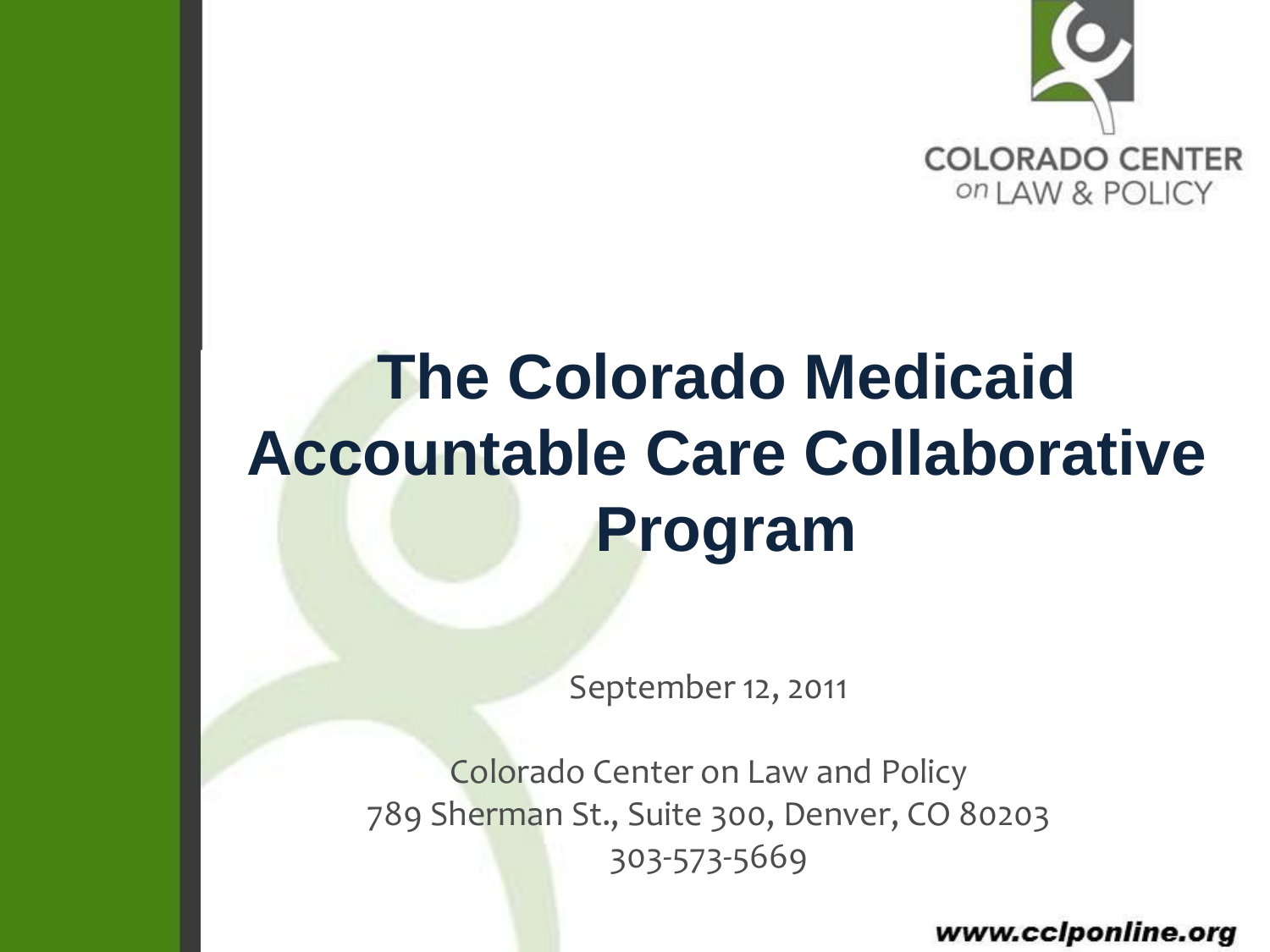

### **The Colorado Medicaid Accountable Care Collaborative Program**

September 12, 2011

Colorado Center on Law and Policy 789 Sherman St., Suite 300, Denver, CO 80203 303-573-5669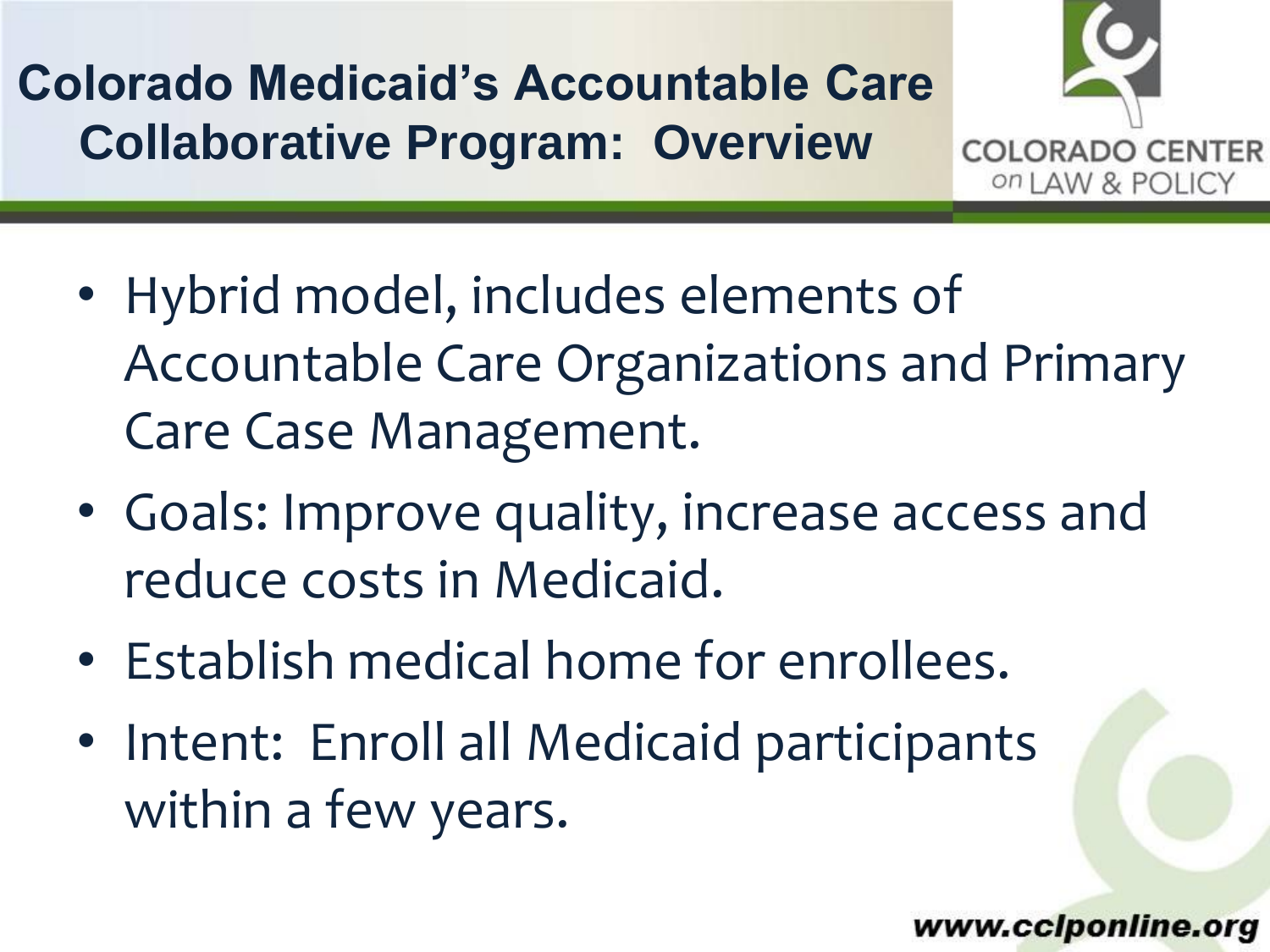**Colorado Medicaid's Accountable Care Collaborative Program: Overview**



- Hybrid model, includes elements of Accountable Care Organizations and Primary Care Case Management.
- Goals: Improve quality, increase access and reduce costs in Medicaid.
- Establish medical home for enrollees.
- Intent: Enroll all Medicaid participants within a few years.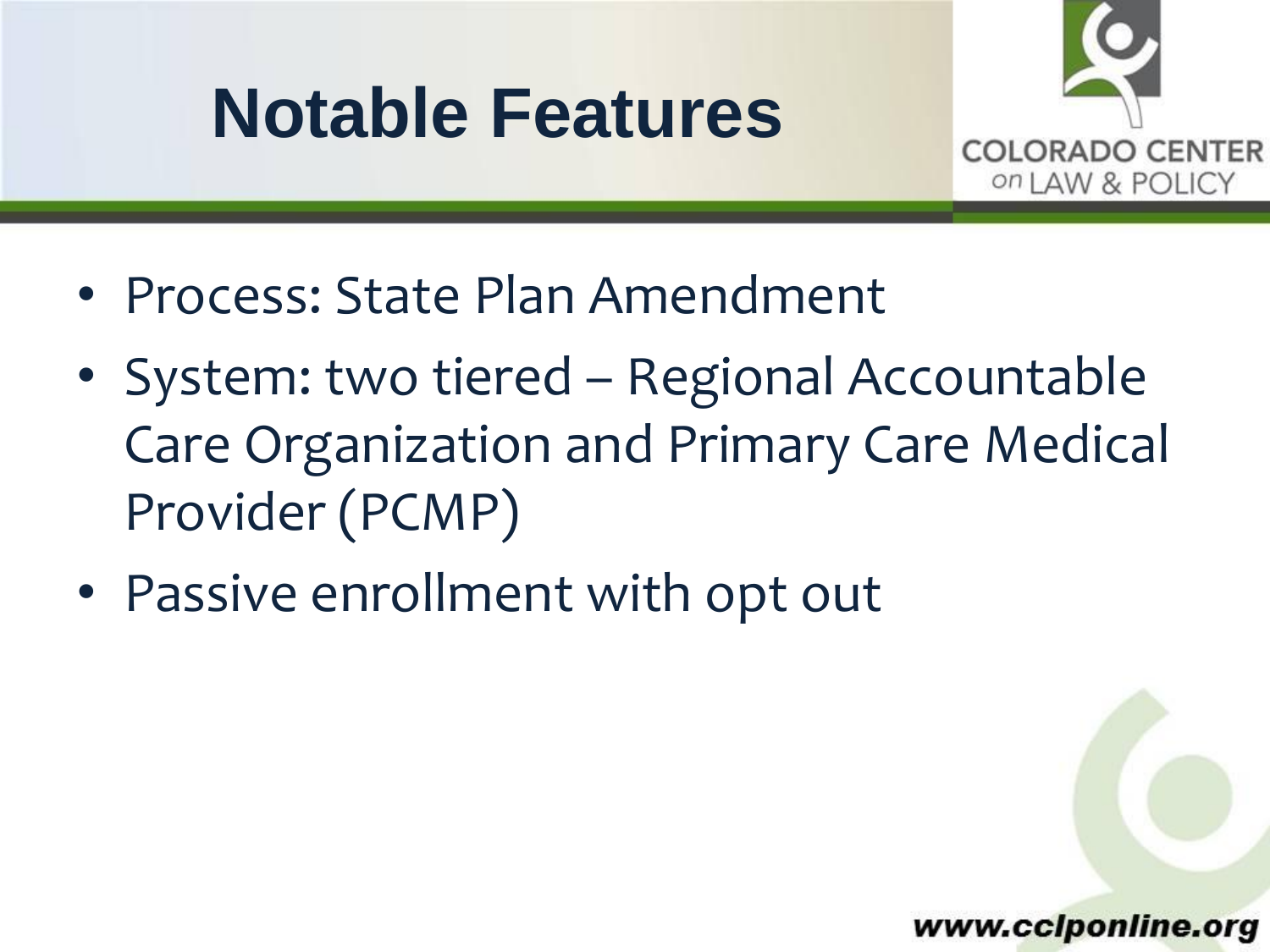### **Notable Features**



- Process: State Plan Amendment
- System: two tiered Regional Accountable Care Organization and Primary Care Medical Provider (PCMP)
- Passive enrollment with opt out

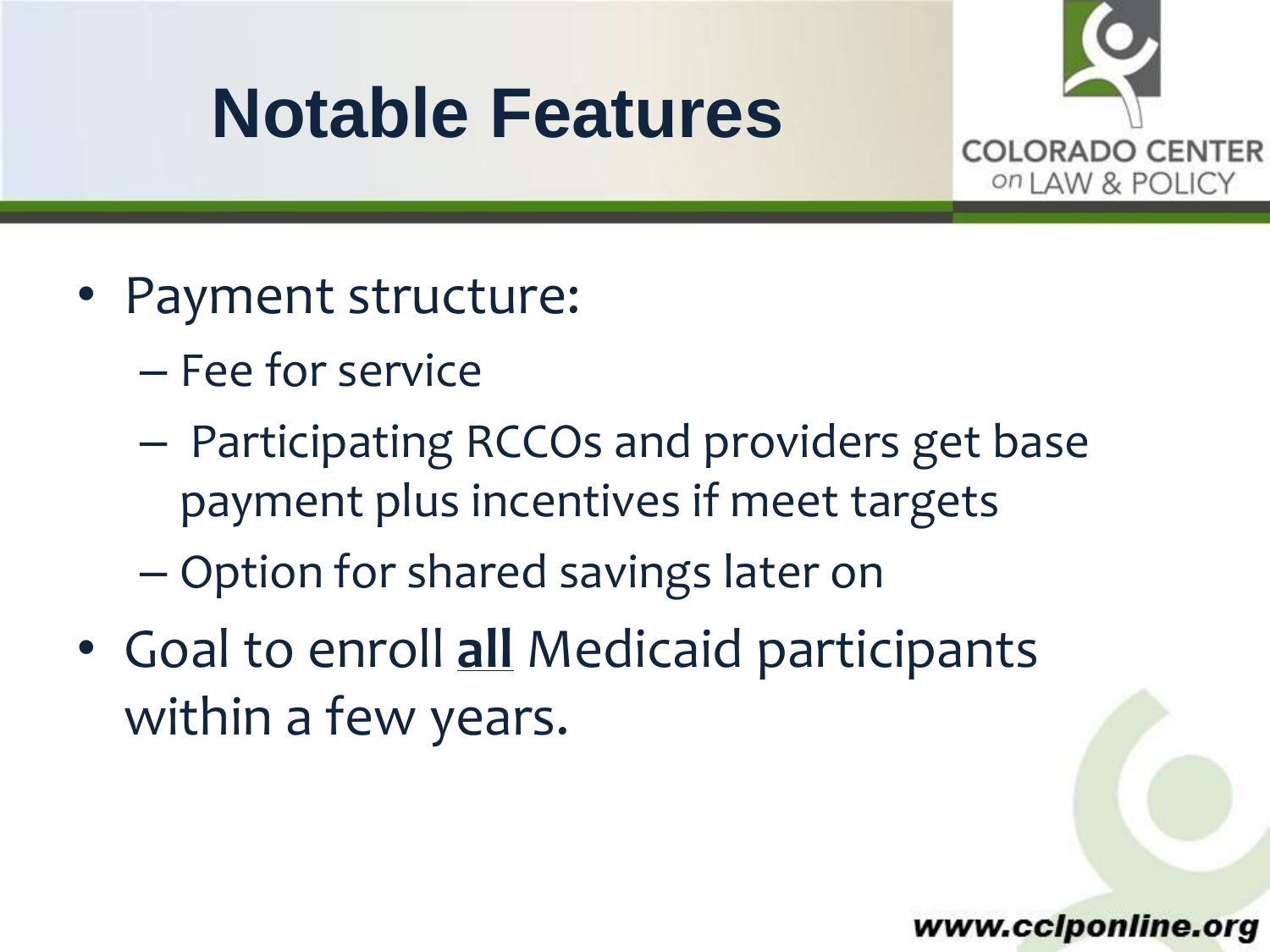### **Notable Features**



- Payment structure:
	- Fee for service
	- Participating RCCOs and providers get base payment plus incentives if meet targets
	- Option for shared savings later on
- Goal to enroll **all** Medicaid participants within a few years.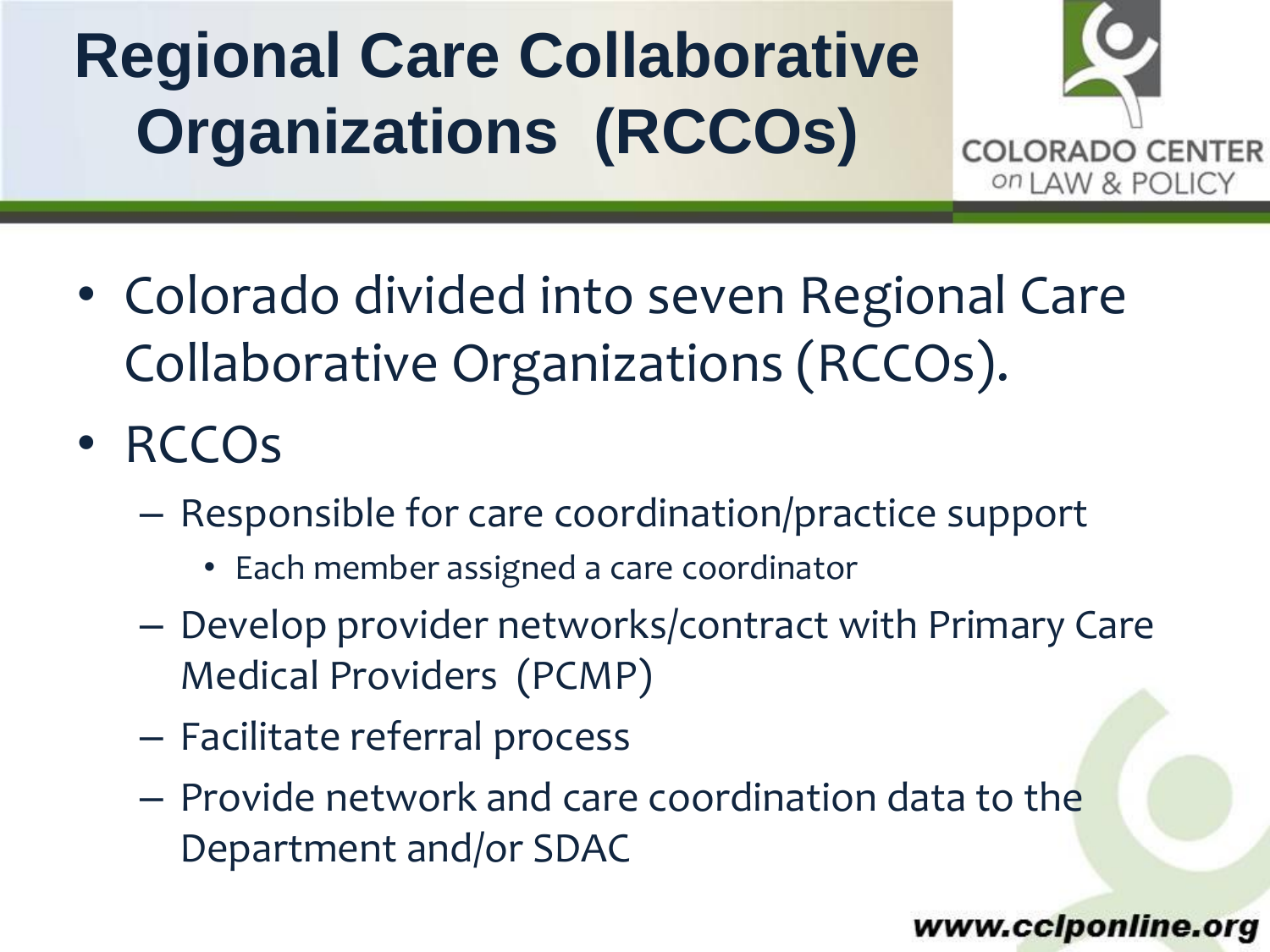# **Regional Care Collaborative Organizations (RCCOs)**



- Colorado divided into seven Regional Care Collaborative Organizations (RCCOs).
- RCCOs
	- Responsible for care coordination/practice support
		- Each member assigned a care coordinator
	- Develop provider networks/contract with Primary Care Medical Providers (PCMP)
	- Facilitate referral process
	- Provide network and care coordination data to the Department and/or SDAC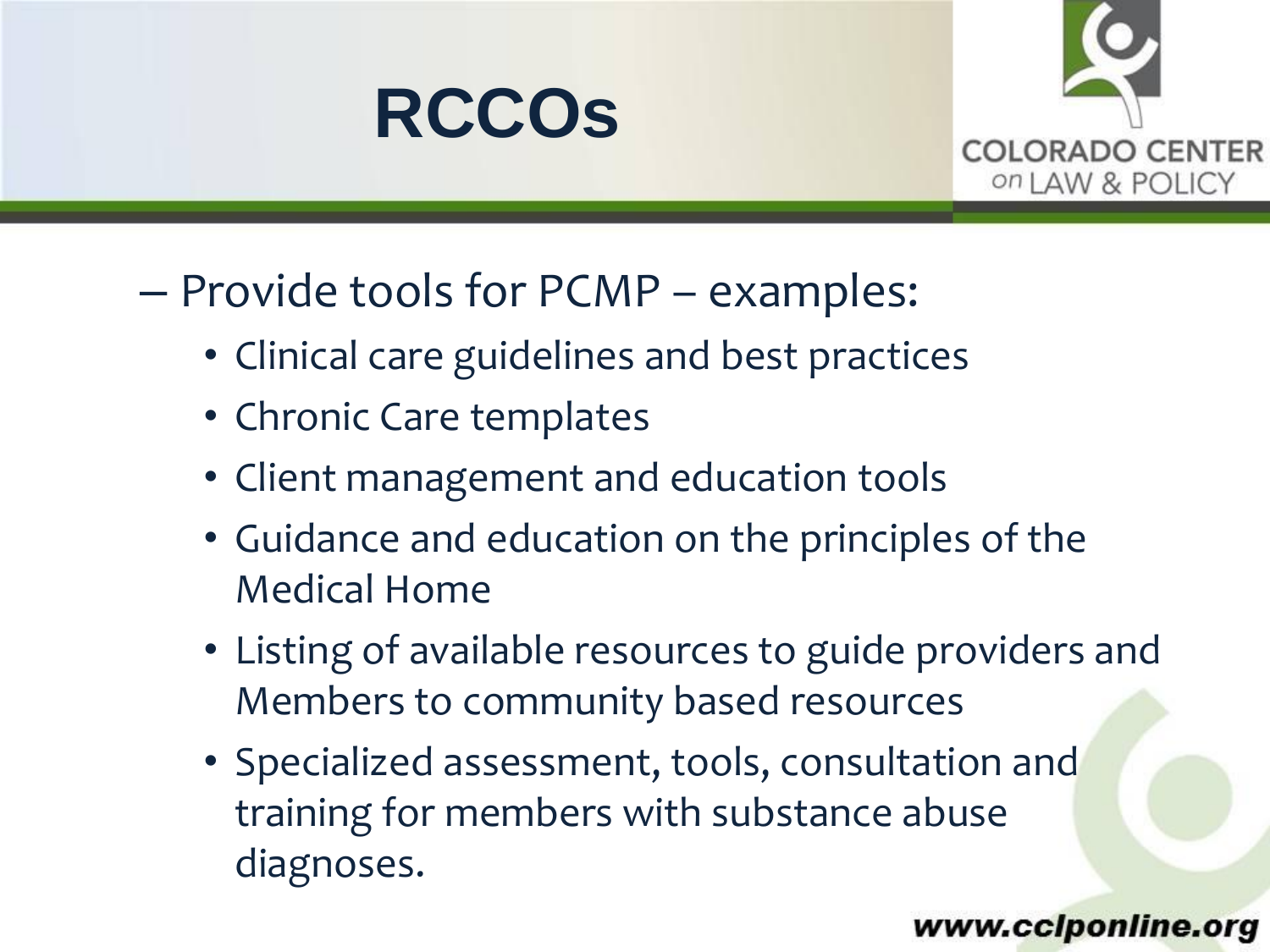



- Provide tools for PCMP examples:
	- Clinical care guidelines and best practices
	- Chronic Care templates
	- Client management and education tools
	- Guidance and education on the principles of the Medical Home
	- Listing of available resources to guide providers and Members to community based resources
	- Specialized assessment, tools, consultation and training for members with substance abuse diagnoses.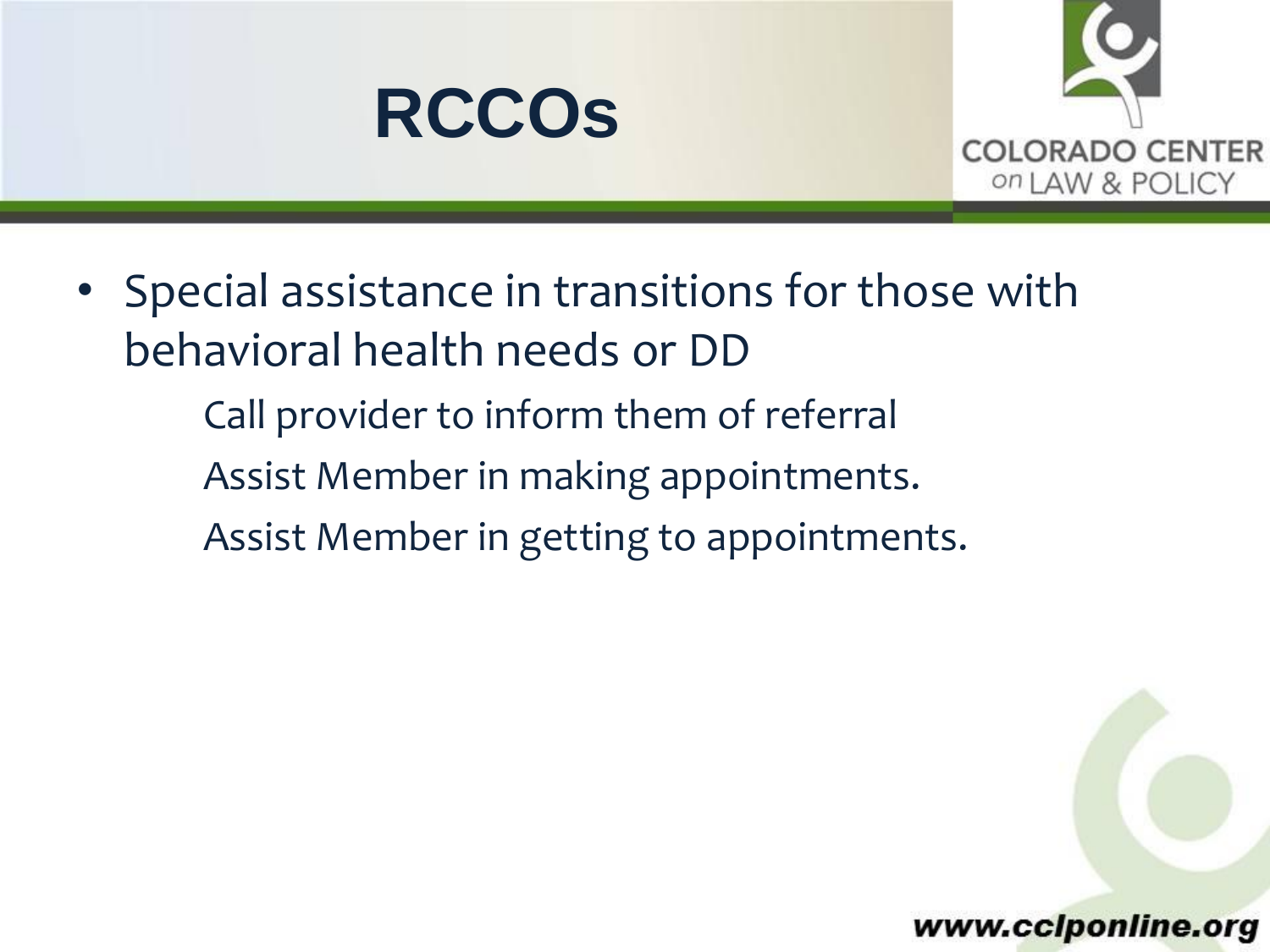



- Special assistance in transitions for those with behavioral health needs or DD Call provider to inform them of referral
	- Assist Member in making appointments.
	- Assist Member in getting to appointments.

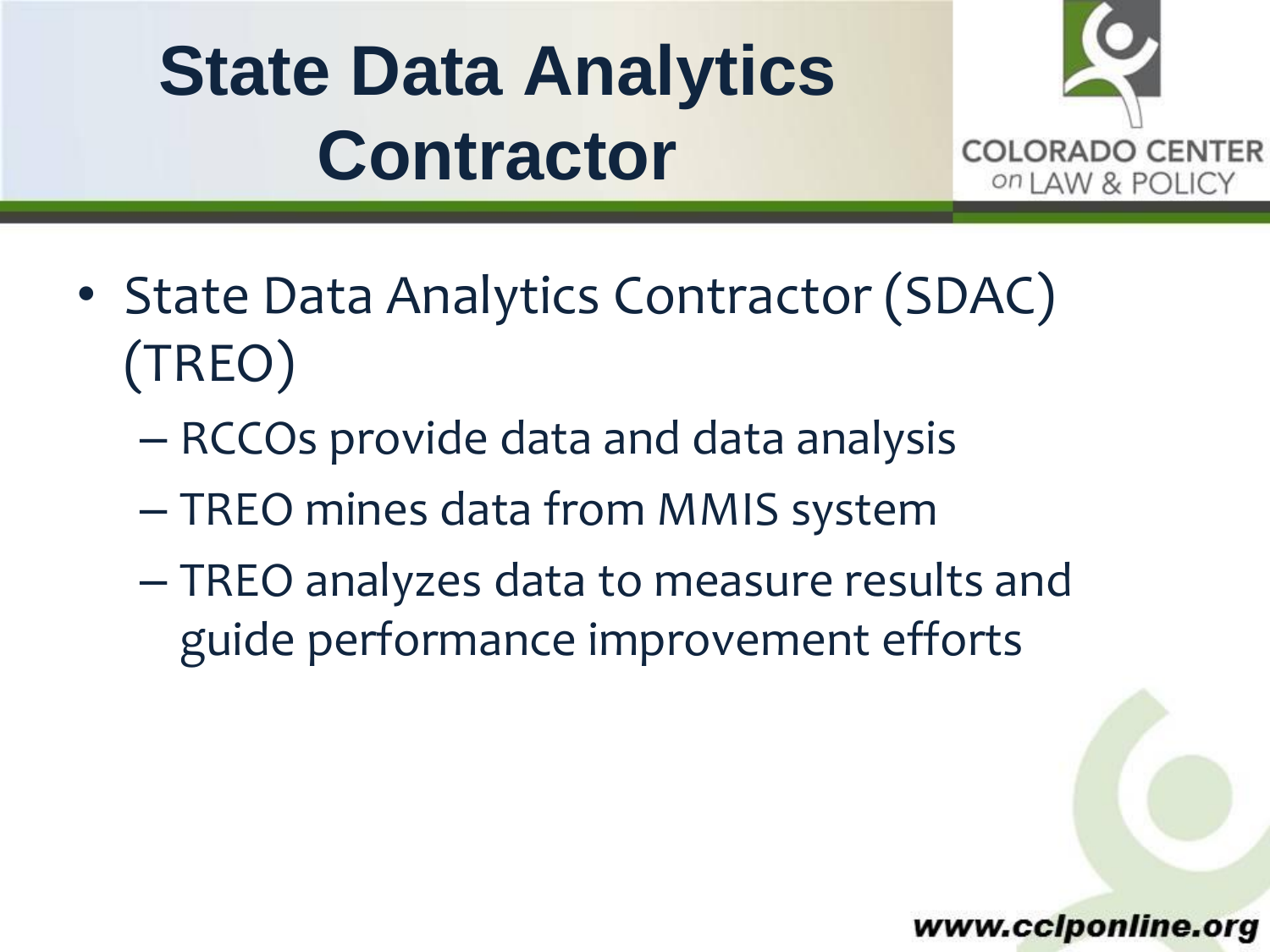# **State Data Analytics Contractor**



- State Data Analytics Contractor (SDAC) (TREO)
	- RCCOs provide data and data analysis
	- TREO mines data from MMIS system
	- TREO analyzes data to measure results and guide performance improvement efforts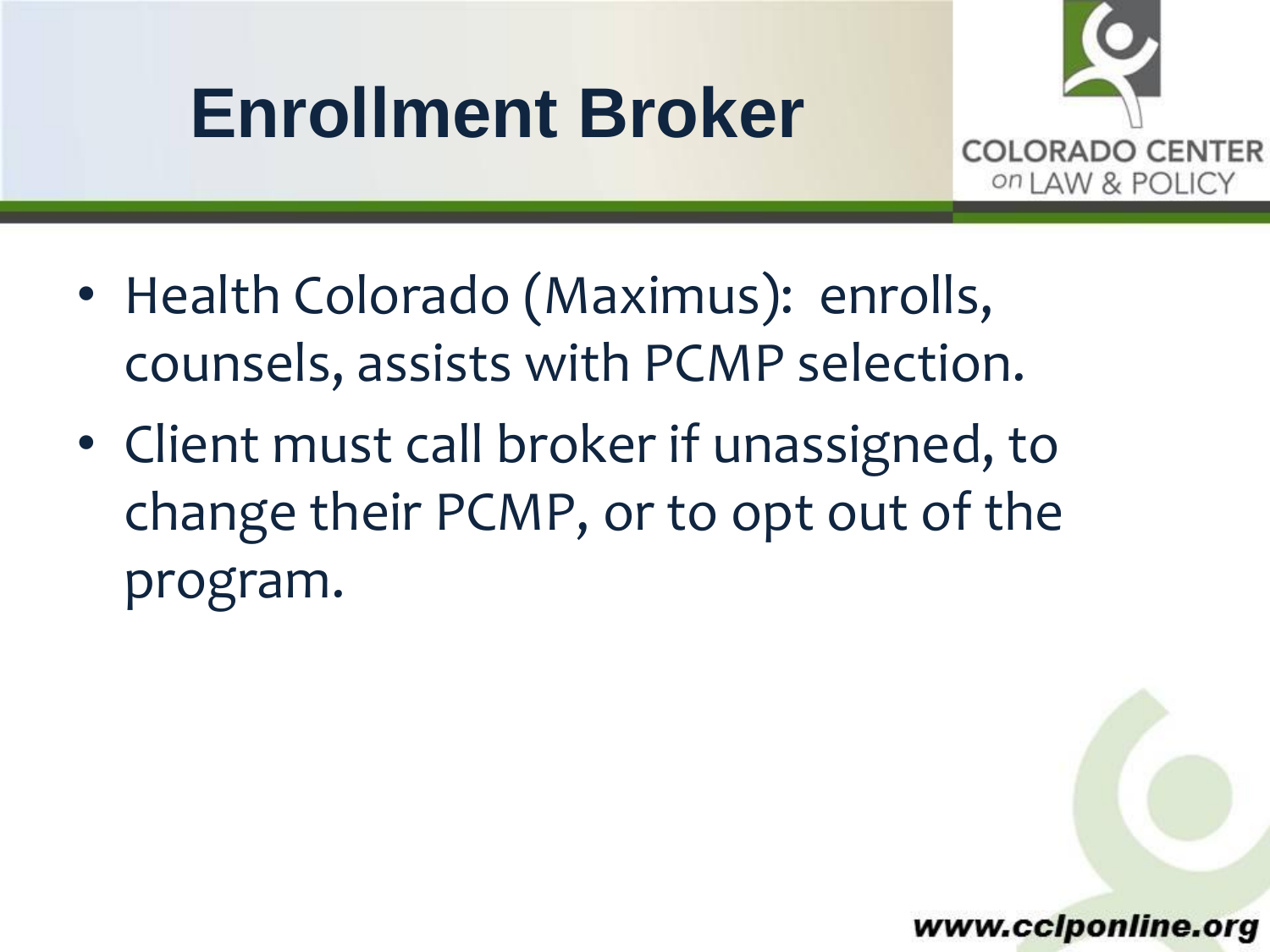## **Enrollment Broker**



- Health Colorado (Maximus): enrolls, counsels, assists with PCMP selection.
- Client must call broker if unassigned, to change their PCMP, or to opt out of the program.

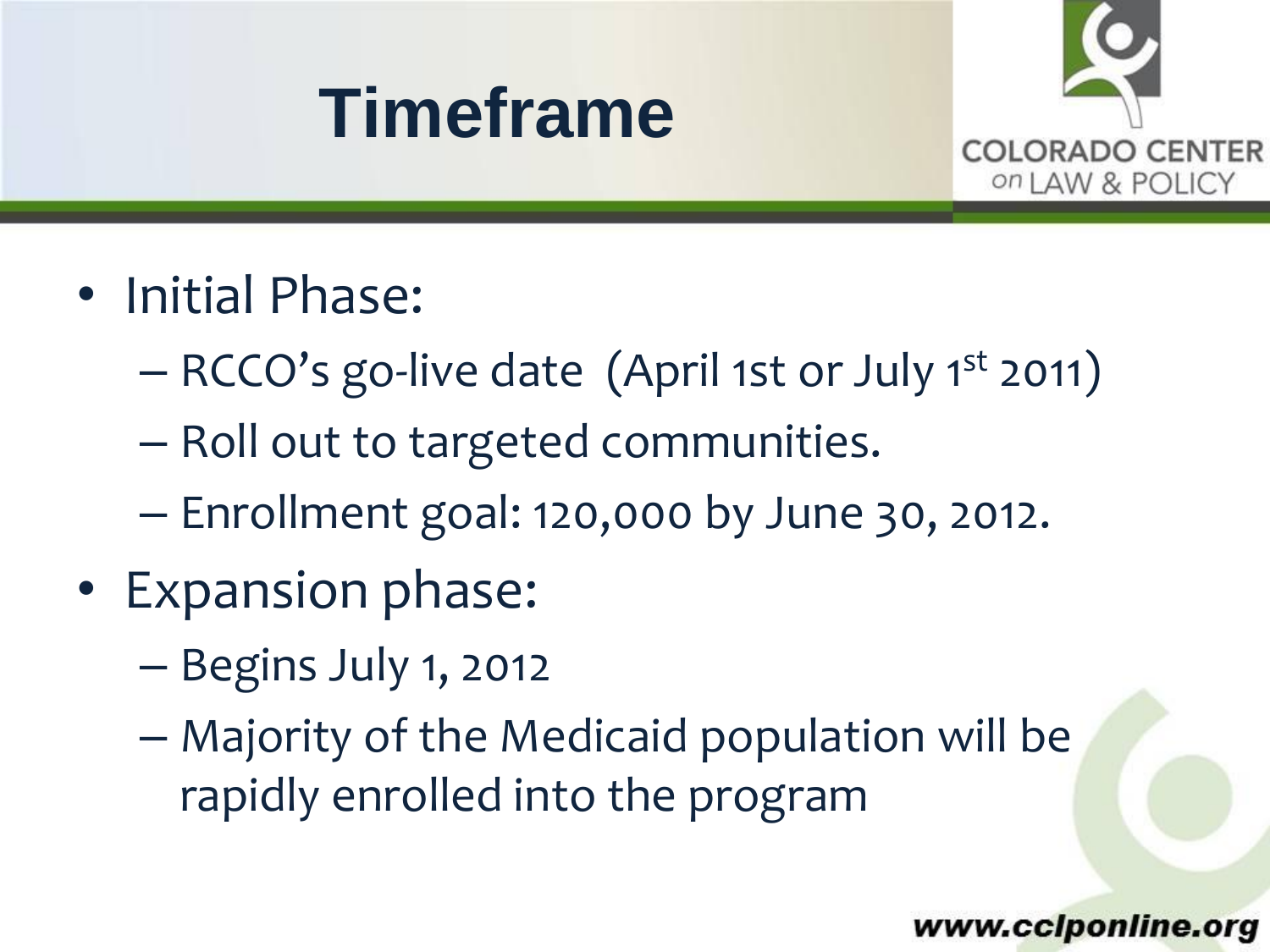



- Initial Phase:
	- RCCO's go-live date (April 1st or July 1st 2011)
	- Roll out to targeted communities.
	- Enrollment goal: 120,000 by June 30, 2012.
- Expansion phase:
	- Begins July 1, 2012
	- Majority of the Medicaid population will be rapidly enrolled into the program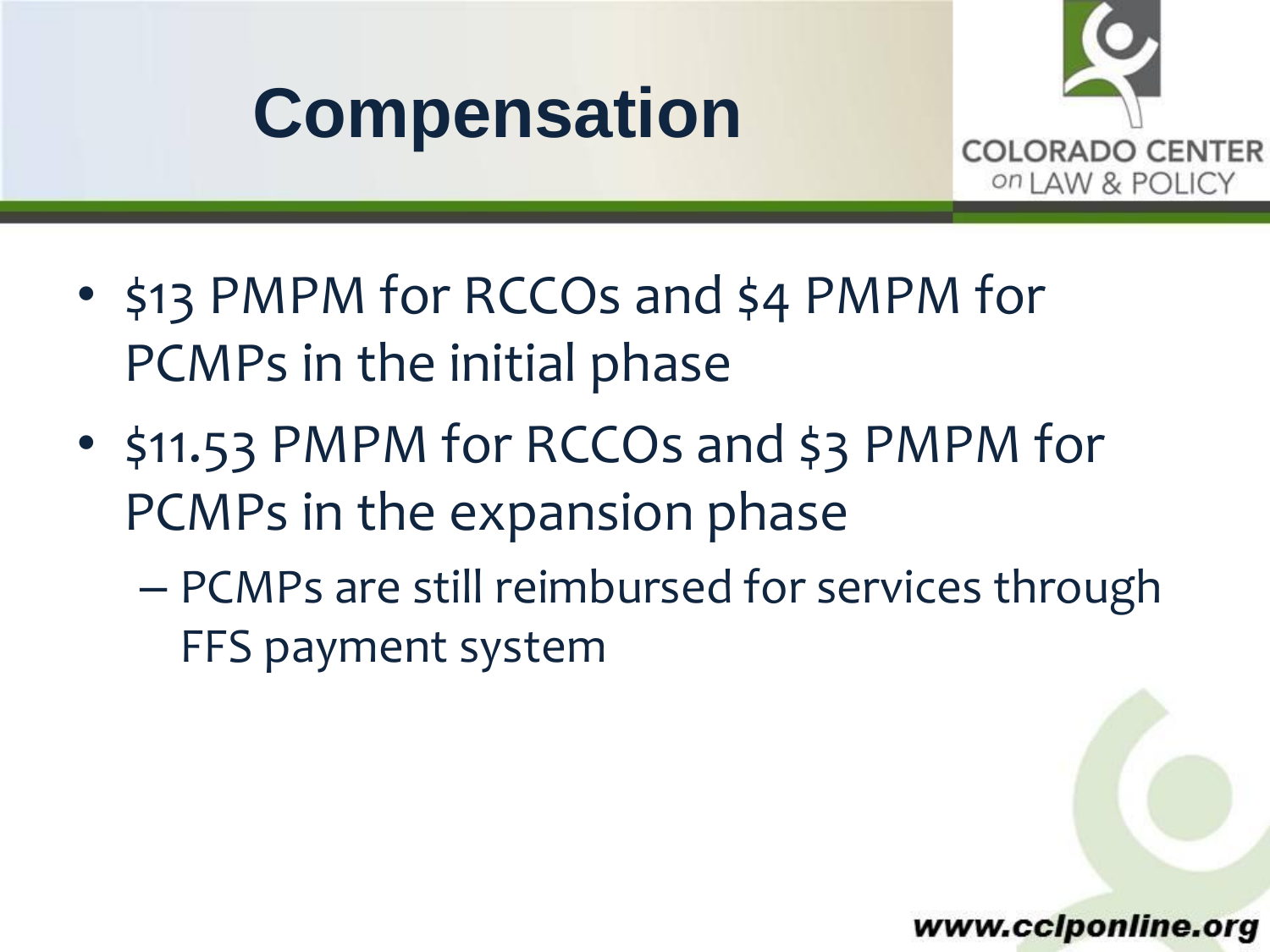# **Compensation**



- \$13 PMPM for RCCOs and \$4 PMPM for PCMPs in the initial phase
- \$11.53 PMPM for RCCOs and \$3 PMPM for PCMPs in the expansion phase
	- PCMPs are still reimbursed for services through FFS payment system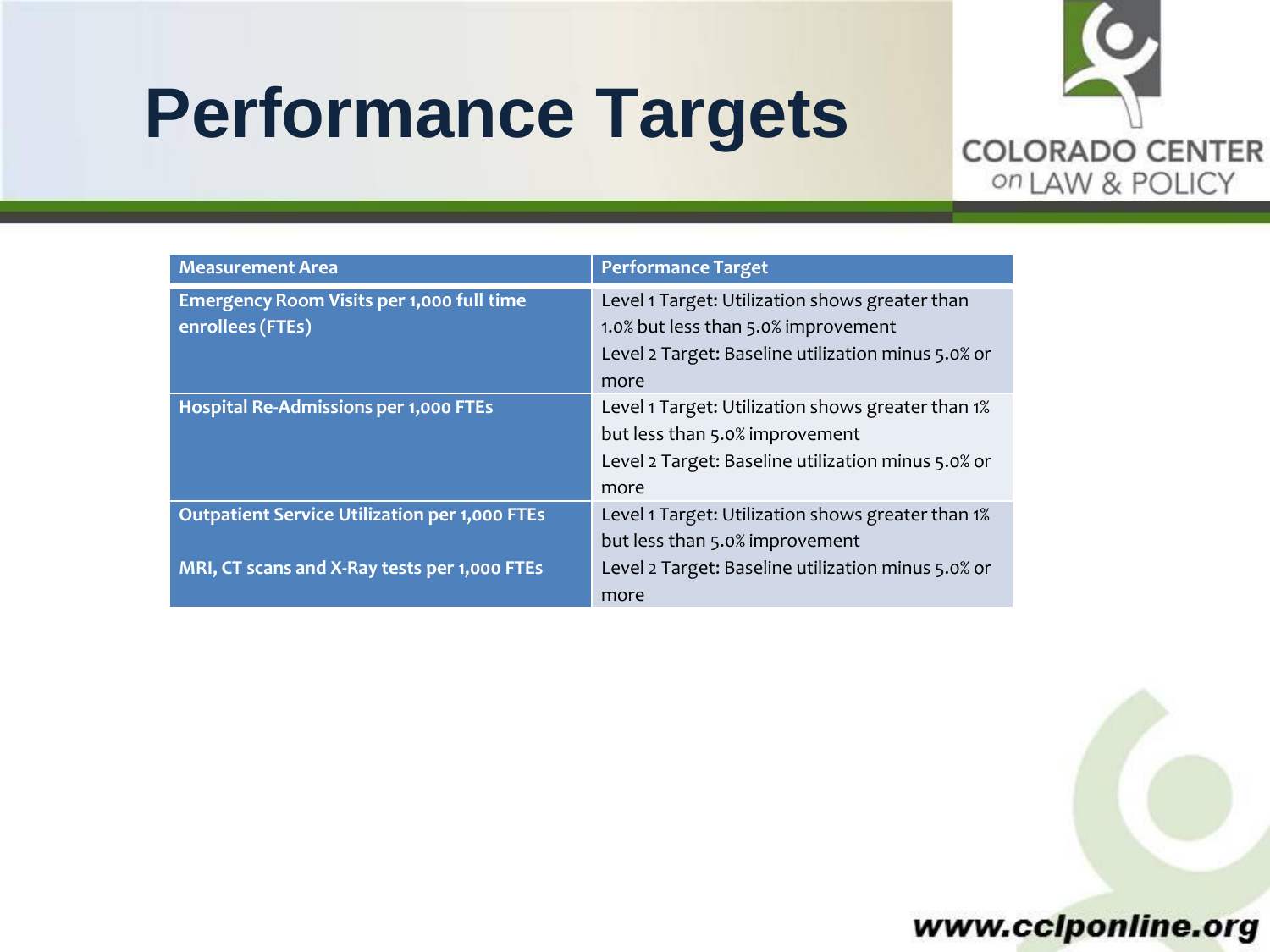### **Performance Targets**



| <b>Measurement Area</b>                                                                              | <b>Performance Target</b>                                                                                                                           |
|------------------------------------------------------------------------------------------------------|-----------------------------------------------------------------------------------------------------------------------------------------------------|
| <b>Emergency Room Visits per 1,000 full time</b><br>enrollees (FTEs)                                 | Level 1 Target: Utilization shows greater than<br>1.0% but less than 5.0% improvement<br>Level 2 Target: Baseline utilization minus 5.0% or<br>more |
| <b>Hospital Re-Admissions per 1,000 FTEs</b>                                                         | Level 1 Target: Utilization shows greater than 1%<br>but less than 5.0% improvement<br>Level 2 Target: Baseline utilization minus 5.0% or<br>more   |
| <b>Outpatient Service Utilization per 1,000 FTEs</b><br>MRI, CT scans and X-Ray tests per 1,000 FTEs | Level 1 Target: Utilization shows greater than 1%<br>but less than 5.0% improvement<br>Level 2 Target: Baseline utilization minus 5.0% or           |
|                                                                                                      | more                                                                                                                                                |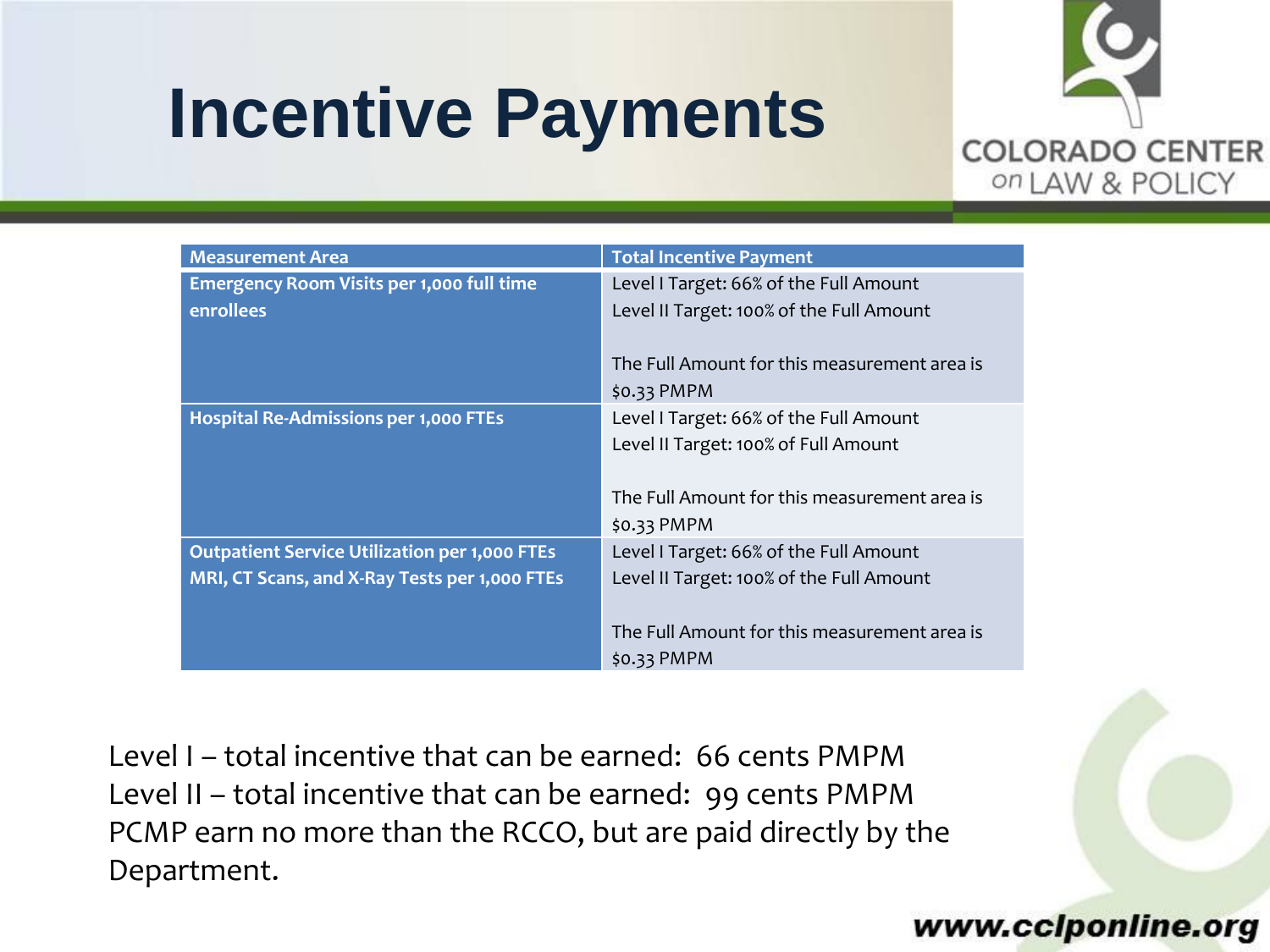### **Incentive Payments**



| <b>Measurement Area</b>                              | <b>Total Incentive Payment</b>               |
|------------------------------------------------------|----------------------------------------------|
| Emergency Room Visits per 1,000 full time            | Level I Target: 66% of the Full Amount       |
| <b>enrollees</b>                                     | Level II Target: 100% of the Full Amount     |
|                                                      |                                              |
|                                                      | The Full Amount for this measurement area is |
|                                                      | $$0.33$ PMPM                                 |
| <b>Hospital Re-Admissions per 1,000 FTEs</b>         | Level I Target: 66% of the Full Amount       |
|                                                      | Level II Target: 100% of Full Amount         |
|                                                      |                                              |
|                                                      | The Full Amount for this measurement area is |
|                                                      | $$0.33$ PMPM                                 |
| <b>Outpatient Service Utilization per 1,000 FTEs</b> | Level I Target: 66% of the Full Amount       |
| MRI, CT Scans, and X-Ray Tests per 1,000 FTEs        | Level II Target: 100% of the Full Amount     |
|                                                      |                                              |
|                                                      | The Full Amount for this measurement area is |
|                                                      | $$0.33$ PMPM                                 |

Level I – total incentive that can be earned: 66 cents PMPM Level II – total incentive that can be earned: 99 cents PMPM PCMP earn no more than the RCCO, but are paid directly by the Department.

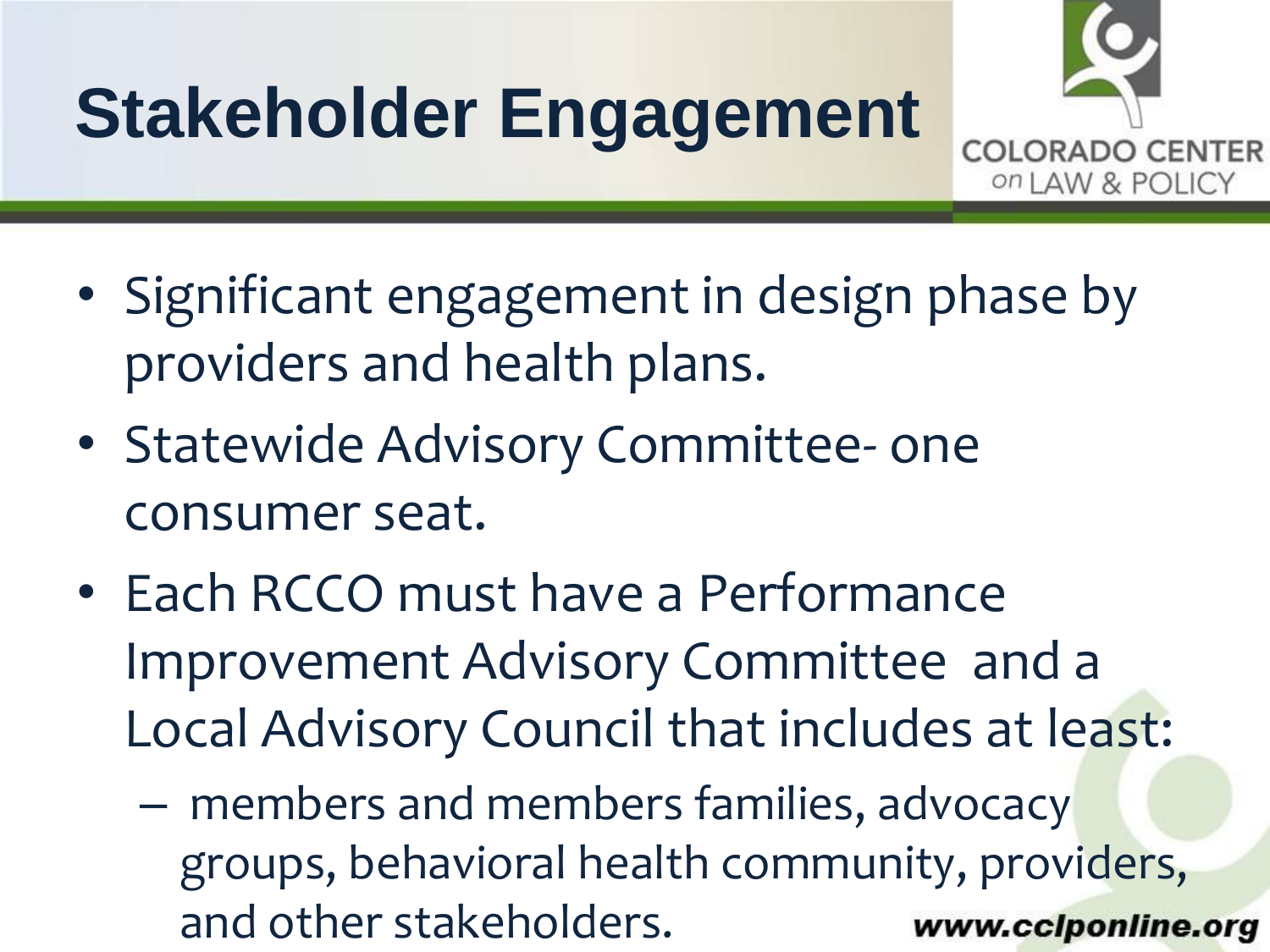# **Stakeholder Engagement**



COLORA

on LAW & POLICY

- Statewide Advisory Committee- one consumer seat.
- Each RCCO must have a Performance Improvement Advisory Committee and a Local Advisory Council that includes at least:
	- www.cclponline.org – members and members families, advocacy groups, behavioral health community, providers, and other stakeholders.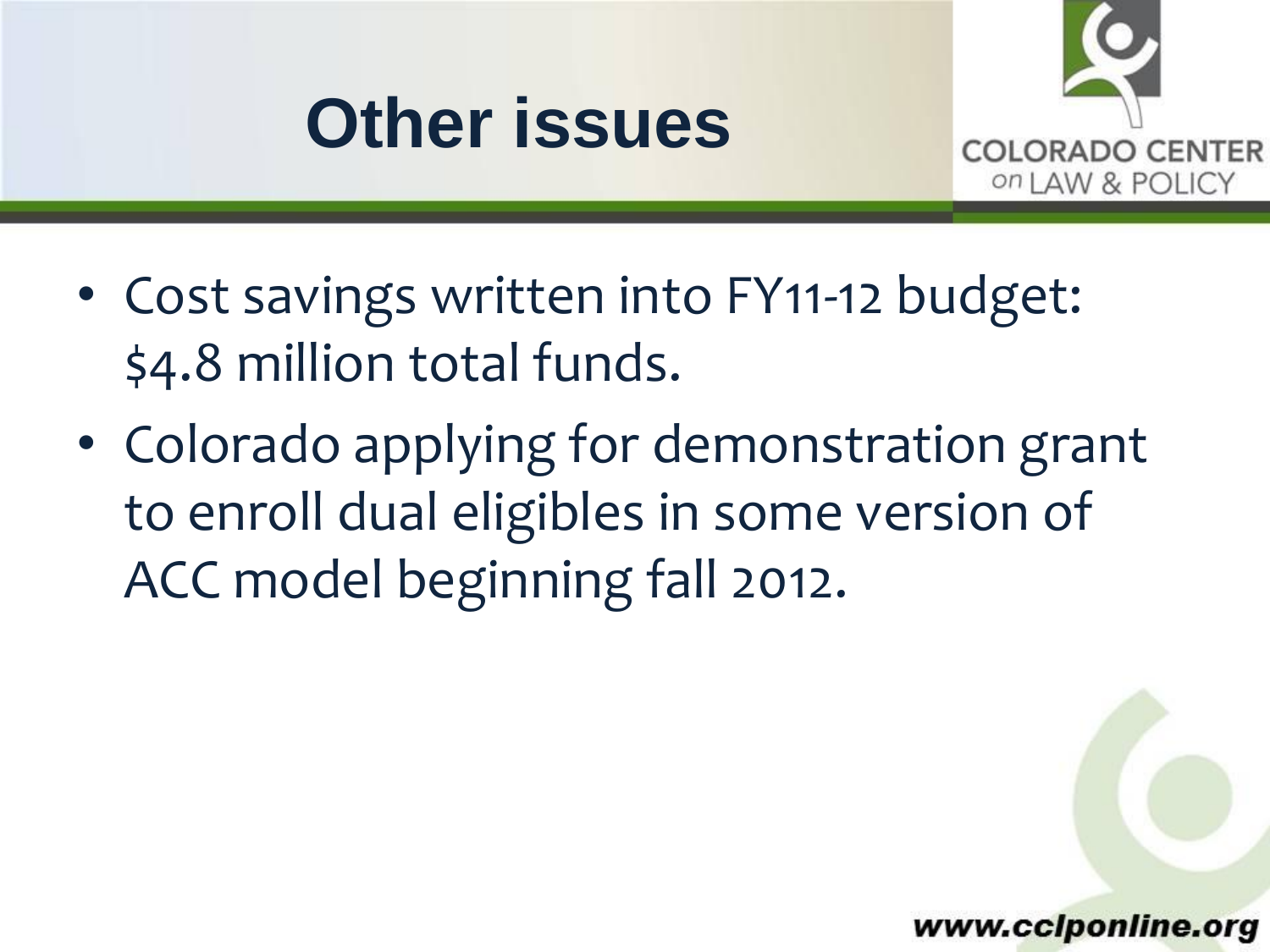#### **Other issues**



- Cost savings written into FY11-12 budget: \$4.8 million total funds.
- Colorado applying for demonstration grant to enroll dual eligibles in some version of ACC model beginning fall 2012.

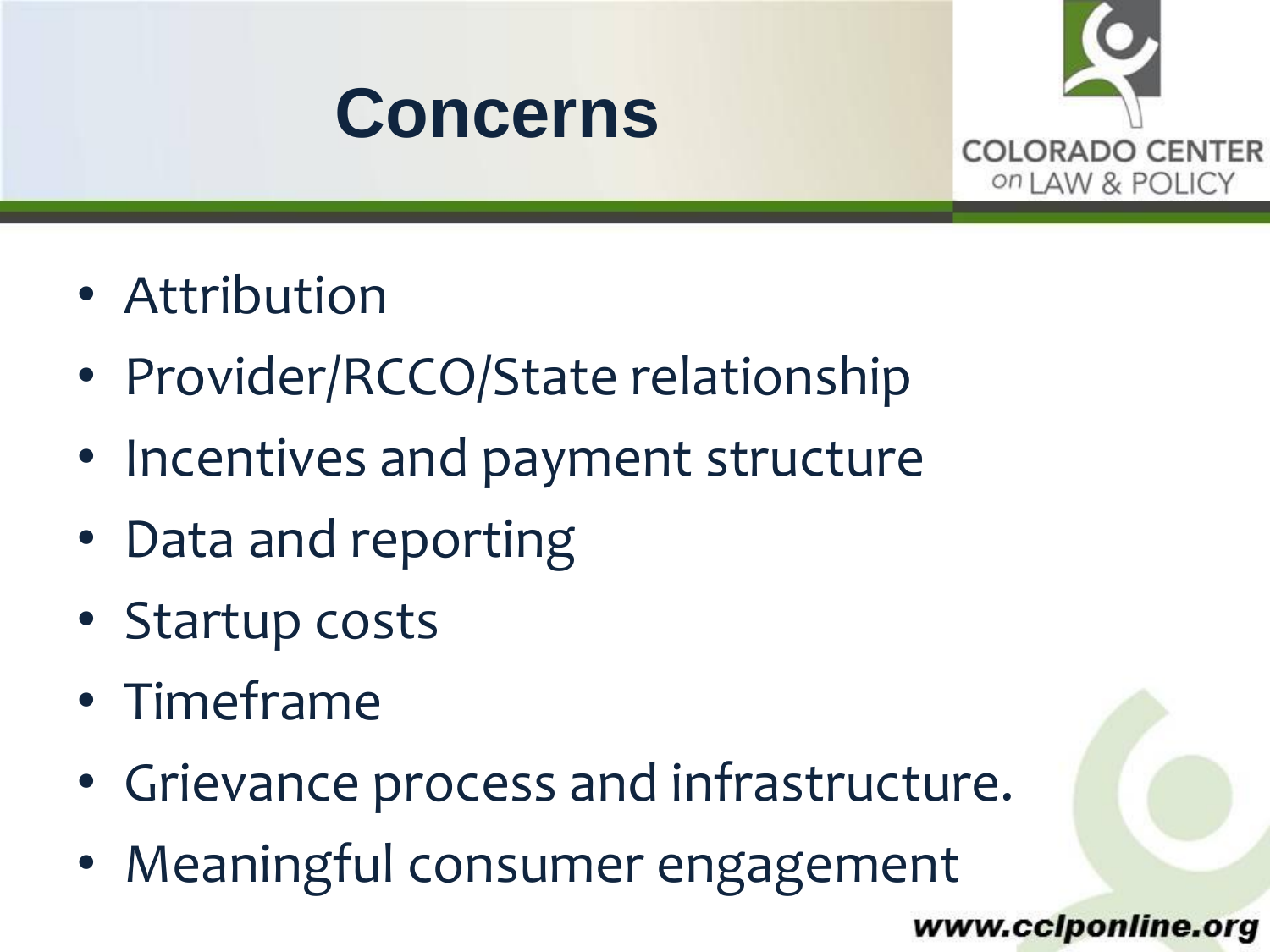



- Attribution
- Provider/RCCO/State relationship
- Incentives and payment structure
- Data and reporting
- Startup costs
- Timeframe
- Grievance process and infrastructure.
- Meaningful consumer engagement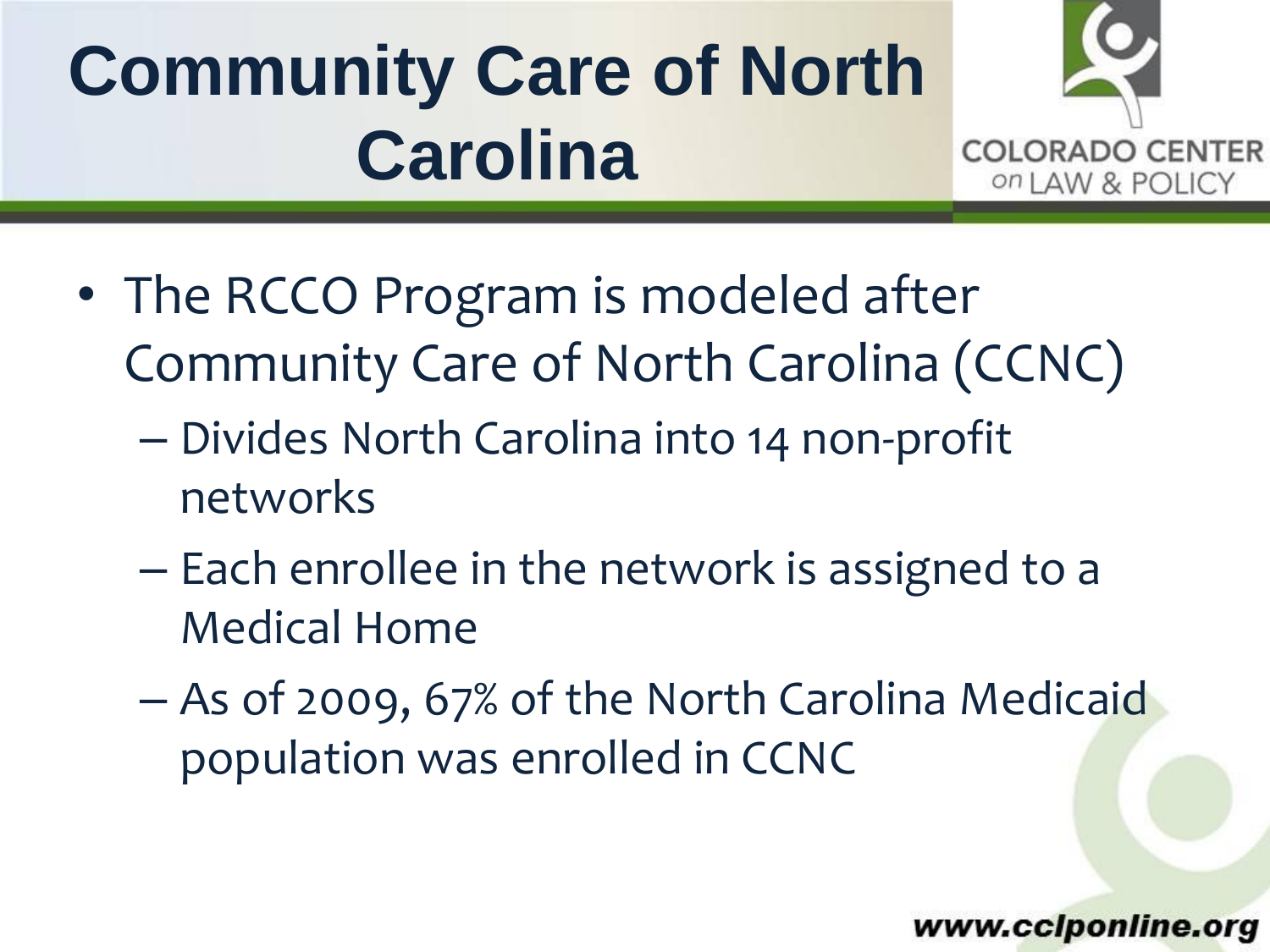# **Community Care of North Carolina**



- The RCCO Program is modeled after Community Care of North Carolina (CCNC)
	- Divides North Carolina into 14 non-profit networks
	- Each enrollee in the network is assigned to a Medical Home
	- As of 2009, 67% of the North Carolina Medicaid population was enrolled in CCNC

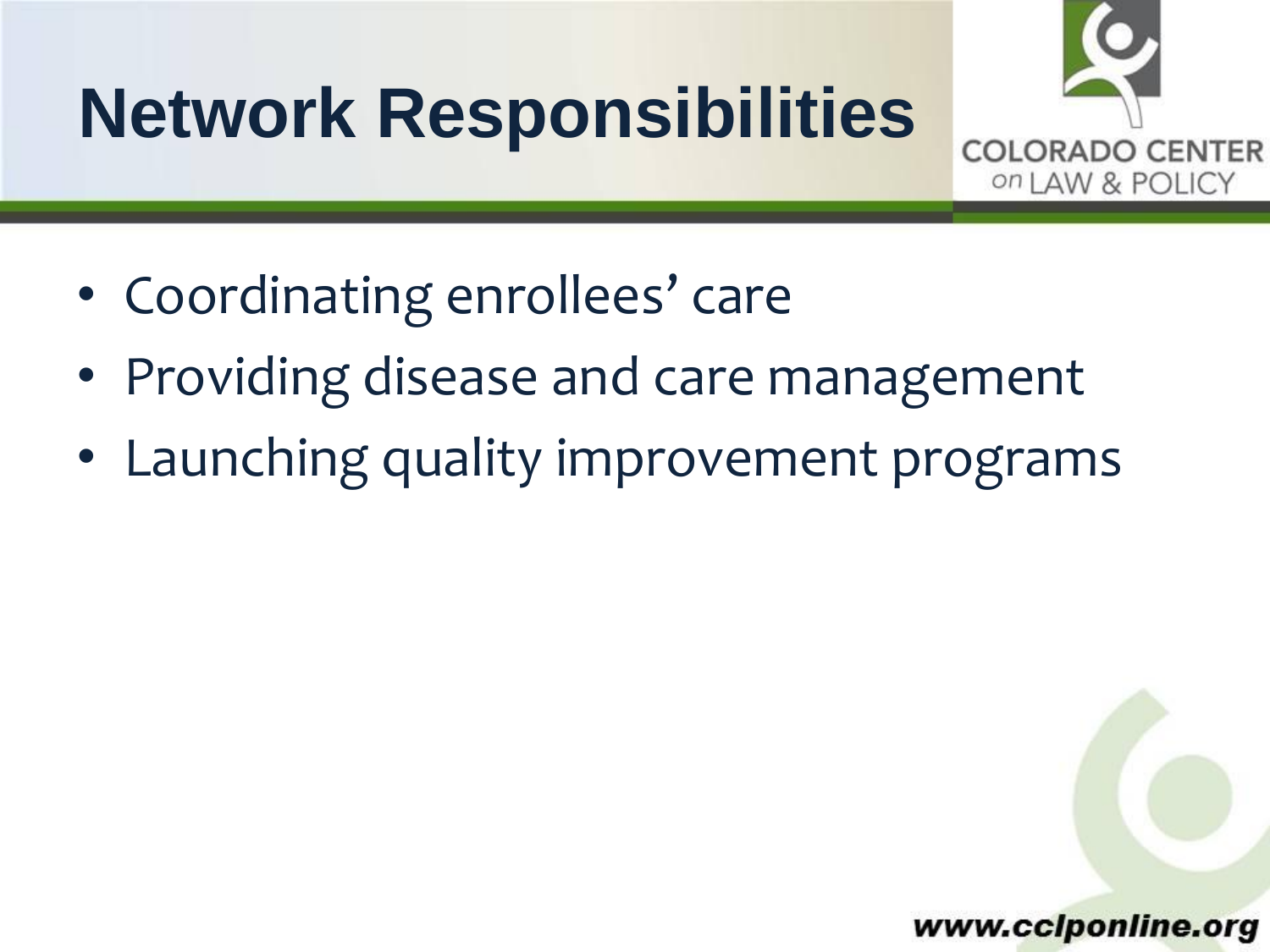### **Network Responsibilities**

**COLORADO CENTER** on LAW & POLICY

- Coordinating enrollees' care
- Providing disease and care management
- Launching quality improvement programs

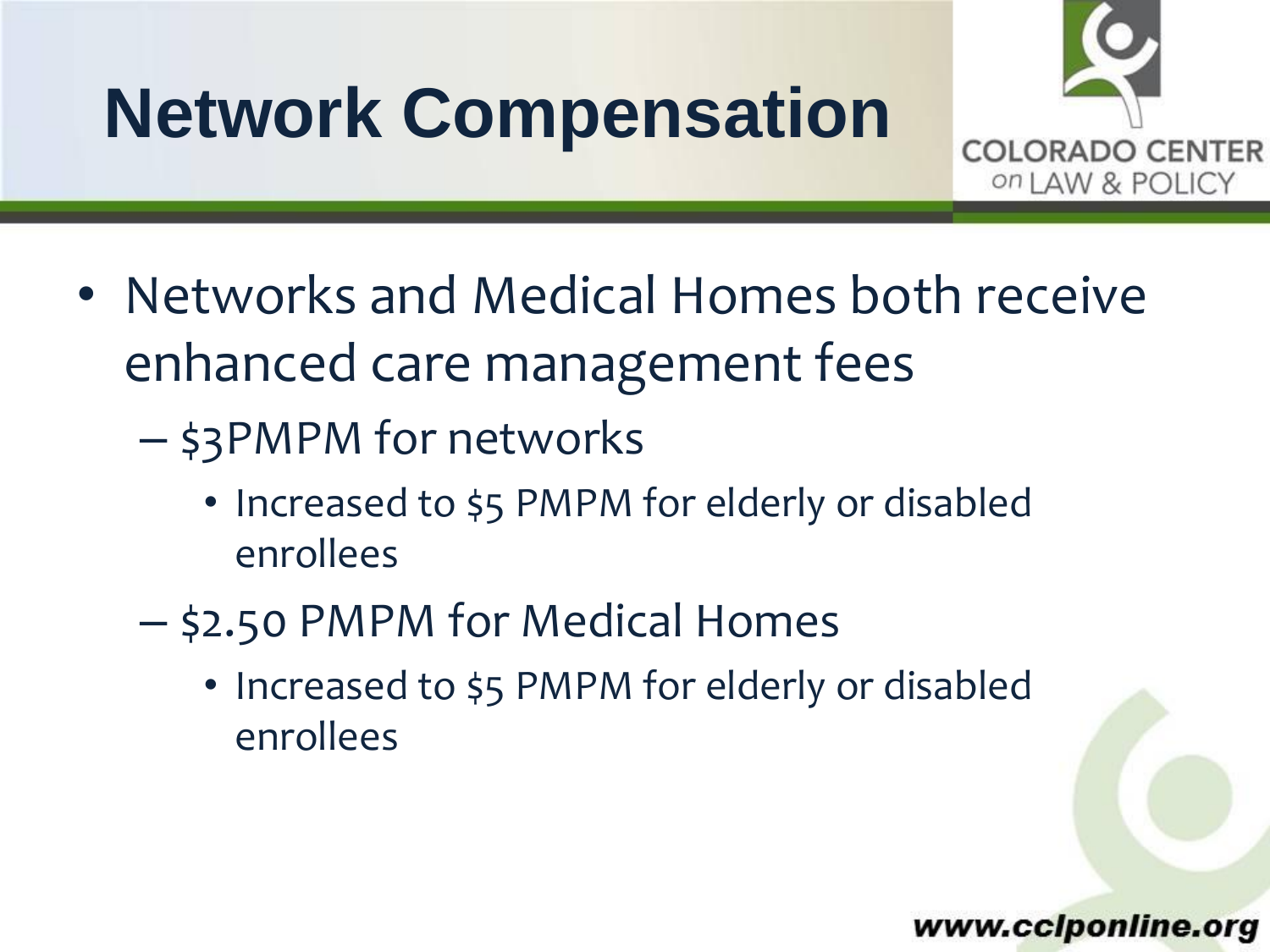# **Network Compensation**



• Networks and Medical Homes both receive enhanced care management fees

– \$3PMPM for networks

- Increased to \$5 PMPM for elderly or disabled enrollees
- \$2.50 PMPM for Medical Homes
	- Increased to \$5 PMPM for elderly or disabled enrollees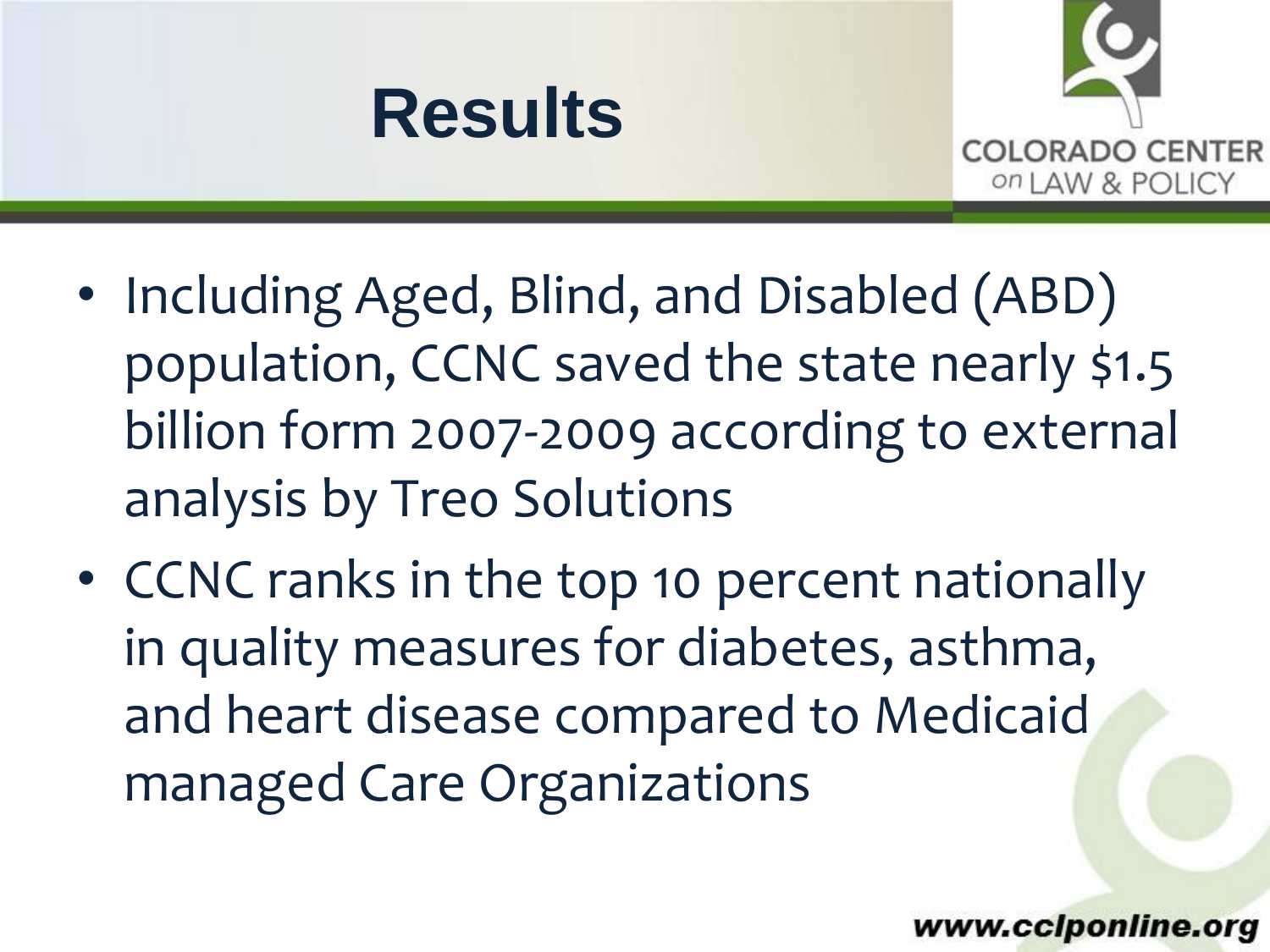



- Including Aged, Blind, and Disabled (ABD) population, CCNC saved the state nearly \$1.5 billion form 2007-2009 according to external analysis by Treo Solutions
- CCNC ranks in the top 10 percent nationally in quality measures for diabetes, asthma, and heart disease compared to Medicaid managed Care Organizations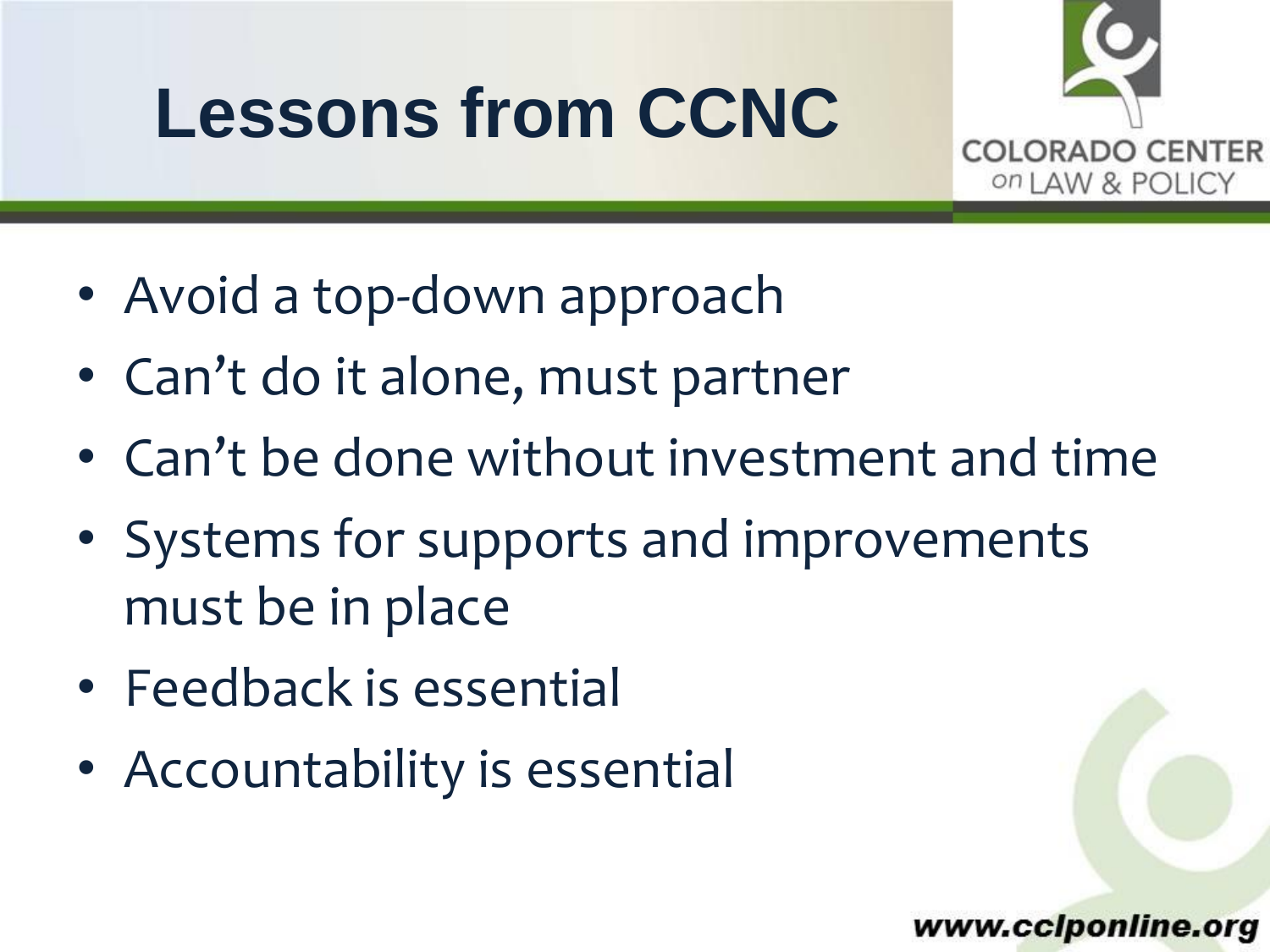## **Lessons from CCNC**

COLORADO CENTER on LAW & POLICY

- Avoid a top-down approach
- Can't do it alone, must partner
- Can't be done without investment and time
- Systems for supports and improvements must be in place
- Feedback is essential
- Accountability is essential